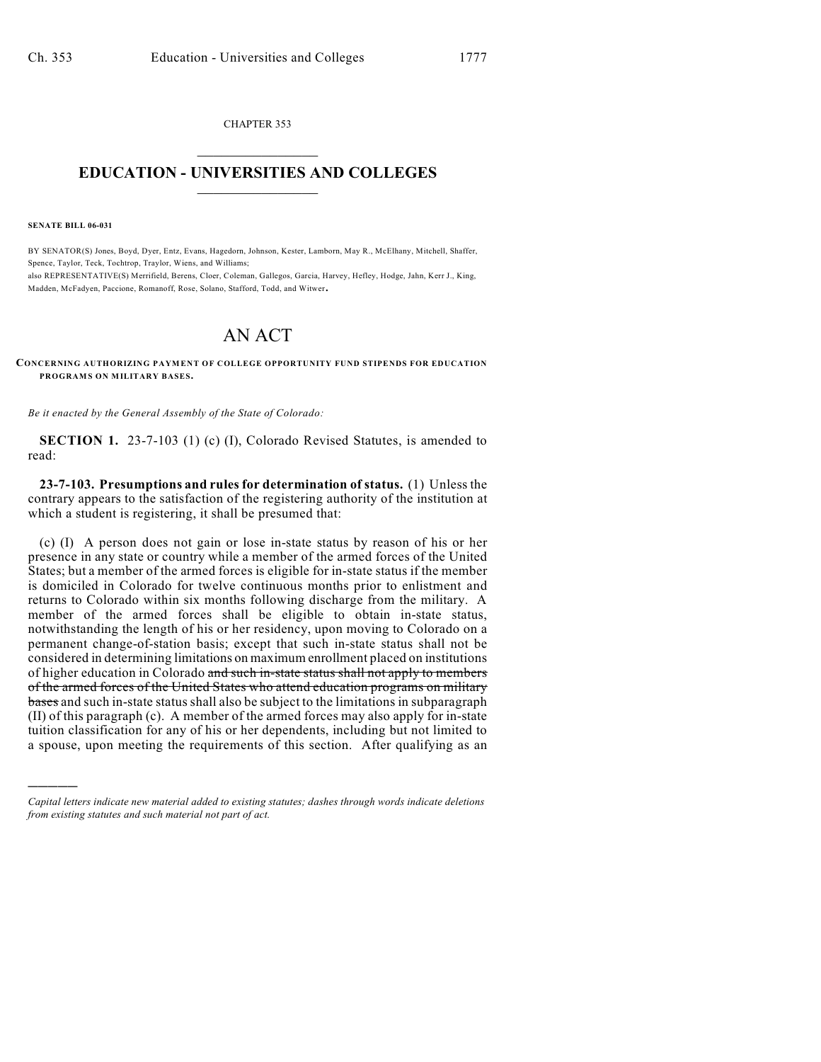CHAPTER 353  $\overline{\phantom{a}}$  . The set of the set of the set of the set of the set of the set of the set of the set of the set of the set of the set of the set of the set of the set of the set of the set of the set of the set of the set o

## **EDUCATION - UNIVERSITIES AND COLLEGES**  $\frac{1}{2}$  ,  $\frac{1}{2}$  ,  $\frac{1}{2}$  ,  $\frac{1}{2}$  ,  $\frac{1}{2}$  ,  $\frac{1}{2}$  ,  $\frac{1}{2}$

**SENATE BILL 06-031**

)))))

BY SENATOR(S) Jones, Boyd, Dyer, Entz, Evans, Hagedorn, Johnson, Kester, Lamborn, May R., McElhany, Mitchell, Shaffer, Spence, Taylor, Teck, Tochtrop, Traylor, Wiens, and Williams; also REPRESENTATIVE(S) Merrifield, Berens, Cloer, Coleman, Gallegos, Garcia, Harvey, Hefley, Hodge, Jahn, Kerr J., King, Madden, McFadyen, Paccione, Romanoff, Rose, Solano, Stafford, Todd, and Witwer.

## AN ACT

## **CONCERNING AUTHORIZING PAYMENT OF COLLEGE OPPORTUNITY FUND STIPENDS FOR EDUCATION PROGRAMS ON MILITARY BASES.**

*Be it enacted by the General Assembly of the State of Colorado:*

**SECTION 1.** 23-7-103 (1) (c) (I), Colorado Revised Statutes, is amended to read:

**23-7-103. Presumptions and rules for determination of status.** (1) Unless the contrary appears to the satisfaction of the registering authority of the institution at which a student is registering, it shall be presumed that:

(c) (I) A person does not gain or lose in-state status by reason of his or her presence in any state or country while a member of the armed forces of the United States; but a member of the armed forces is eligible for in-state status if the member is domiciled in Colorado for twelve continuous months prior to enlistment and returns to Colorado within six months following discharge from the military. A member of the armed forces shall be eligible to obtain in-state status, notwithstanding the length of his or her residency, upon moving to Colorado on a permanent change-of-station basis; except that such in-state status shall not be considered in determining limitations on maximum enrollment placed on institutions of higher education in Colorado and such in-state status shall not apply to members of the armed forces of the United States who attend education programs on military bases and such in-state status shall also be subject to the limitations in subparagraph (II) of this paragraph (c). A member of the armed forces may also apply for in-state tuition classification for any of his or her dependents, including but not limited to a spouse, upon meeting the requirements of this section. After qualifying as an

*Capital letters indicate new material added to existing statutes; dashes through words indicate deletions from existing statutes and such material not part of act.*